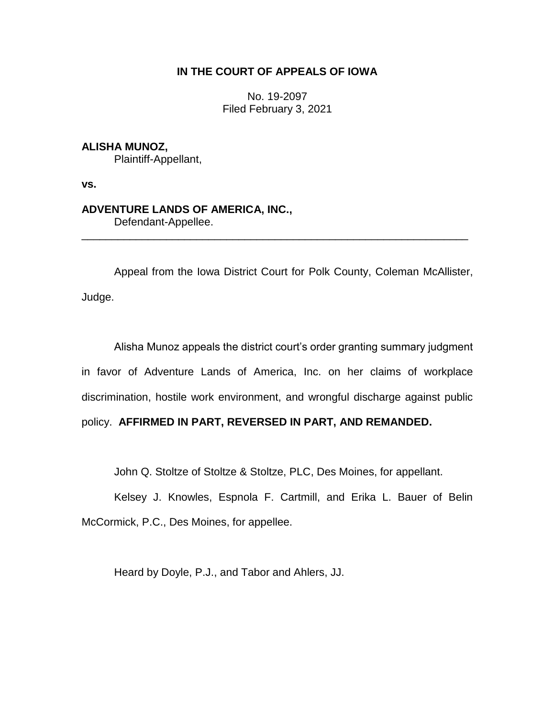# **IN THE COURT OF APPEALS OF IOWA**

No. 19-2097 Filed February 3, 2021

# **ALISHA MUNOZ,**

Plaintiff-Appellant,

**vs.**

# **ADVENTURE LANDS OF AMERICA, INC.,**

Defendant-Appellee.

Appeal from the Iowa District Court for Polk County, Coleman McAllister, Judge.

\_\_\_\_\_\_\_\_\_\_\_\_\_\_\_\_\_\_\_\_\_\_\_\_\_\_\_\_\_\_\_\_\_\_\_\_\_\_\_\_\_\_\_\_\_\_\_\_\_\_\_\_\_\_\_\_\_\_\_\_\_\_\_\_

Alisha Munoz appeals the district court's order granting summary judgment in favor of Adventure Lands of America, Inc. on her claims of workplace discrimination, hostile work environment, and wrongful discharge against public policy. **AFFIRMED IN PART, REVERSED IN PART, AND REMANDED.**

John Q. Stoltze of Stoltze & Stoltze, PLC, Des Moines, for appellant.

Kelsey J. Knowles, Espnola F. Cartmill, and Erika L. Bauer of Belin McCormick, P.C., Des Moines, for appellee.

Heard by Doyle, P.J., and Tabor and Ahlers, JJ.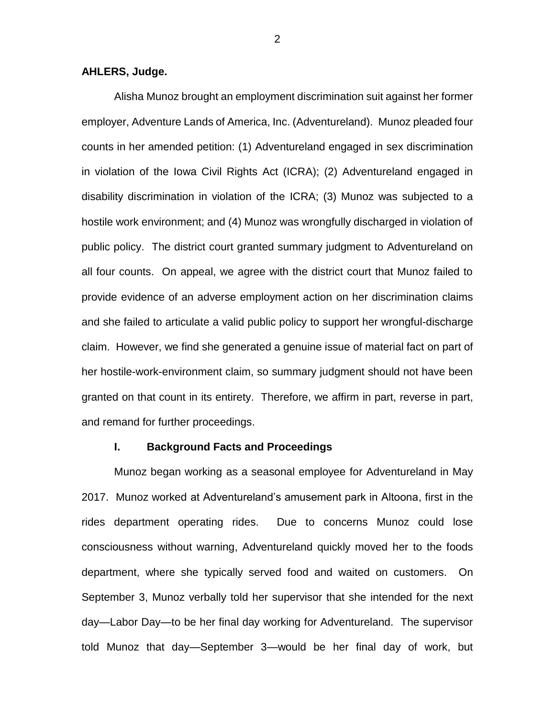### **AHLERS, Judge.**

Alisha Munoz brought an employment discrimination suit against her former employer, Adventure Lands of America, Inc. (Adventureland). Munoz pleaded four counts in her amended petition: (1) Adventureland engaged in sex discrimination in violation of the Iowa Civil Rights Act (ICRA); (2) Adventureland engaged in disability discrimination in violation of the ICRA; (3) Munoz was subjected to a hostile work environment; and (4) Munoz was wrongfully discharged in violation of public policy. The district court granted summary judgment to Adventureland on all four counts. On appeal, we agree with the district court that Munoz failed to provide evidence of an adverse employment action on her discrimination claims and she failed to articulate a valid public policy to support her wrongful-discharge claim. However, we find she generated a genuine issue of material fact on part of her hostile-work-environment claim, so summary judgment should not have been granted on that count in its entirety. Therefore, we affirm in part, reverse in part, and remand for further proceedings.

## **I. Background Facts and Proceedings**

Munoz began working as a seasonal employee for Adventureland in May 2017. Munoz worked at Adventureland's amusement park in Altoona, first in the rides department operating rides. Due to concerns Munoz could lose consciousness without warning, Adventureland quickly moved her to the foods department, where she typically served food and waited on customers. On September 3, Munoz verbally told her supervisor that she intended for the next day—Labor Day—to be her final day working for Adventureland. The supervisor told Munoz that day—September 3—would be her final day of work, but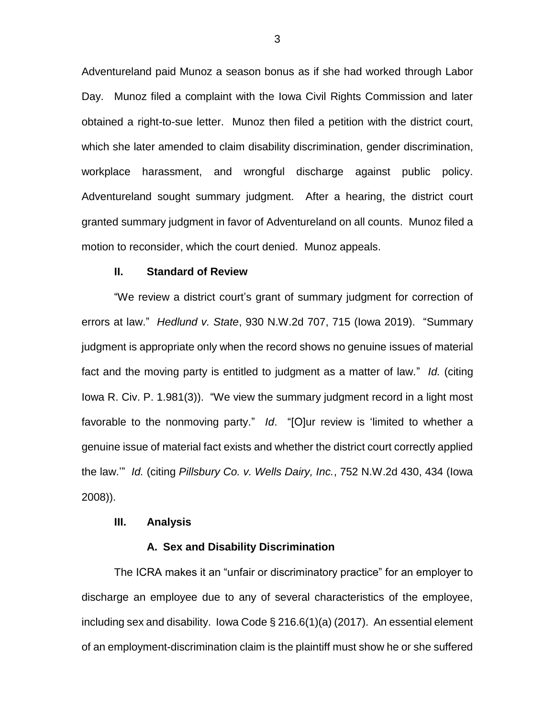Adventureland paid Munoz a season bonus as if she had worked through Labor Day. Munoz filed a complaint with the Iowa Civil Rights Commission and later obtained a right-to-sue letter. Munoz then filed a petition with the district court, which she later amended to claim disability discrimination, gender discrimination, workplace harassment, and wrongful discharge against public policy. Adventureland sought summary judgment. After a hearing, the district court granted summary judgment in favor of Adventureland on all counts. Munoz filed a motion to reconsider, which the court denied. Munoz appeals.

### **II. Standard of Review**

"We review a district court's grant of summary judgment for correction of errors at law." *Hedlund v. State*, 930 N.W.2d 707, 715 (Iowa 2019). "Summary judgment is appropriate only when the record shows no genuine issues of material fact and the moving party is entitled to judgment as a matter of law." *Id.* (citing Iowa R. Civ. P. 1.981(3)). "We view the summary judgment record in a light most favorable to the nonmoving party." *Id*. "[O]ur review is 'limited to whether a genuine issue of material fact exists and whether the district court correctly applied the law.'" *Id.* (citing *Pillsbury Co. v. Wells Dairy, Inc.*, 752 N.W.2d 430, 434 (Iowa 2008)).

#### **III. Analysis**

### **A. Sex and Disability Discrimination**

The ICRA makes it an "unfair or discriminatory practice" for an employer to discharge an employee due to any of several characteristics of the employee, including sex and disability. Iowa Code § 216.6(1)(a) (2017). An essential element of an employment-discrimination claim is the plaintiff must show he or she suffered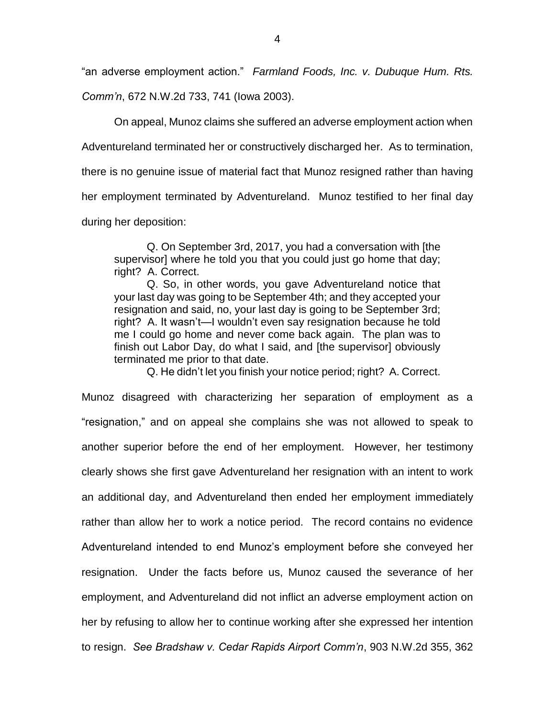"an adverse employment action." *Farmland Foods, Inc. v. Dubuque Hum. Rts.*

*Comm'n*, 672 N.W.2d 733, 741 (Iowa 2003).

On appeal, Munoz claims she suffered an adverse employment action when

Adventureland terminated her or constructively discharged her. As to termination,

there is no genuine issue of material fact that Munoz resigned rather than having

her employment terminated by Adventureland. Munoz testified to her final day

during her deposition:

Q. On September 3rd, 2017, you had a conversation with [the supervisor] where he told you that you could just go home that day; right? A. Correct.

Q. So, in other words, you gave Adventureland notice that your last day was going to be September 4th; and they accepted your resignation and said, no, your last day is going to be September 3rd; right? A. It wasn't—I wouldn't even say resignation because he told me I could go home and never come back again. The plan was to finish out Labor Day, do what I said, and [the supervisor] obviously terminated me prior to that date.

Q. He didn't let you finish your notice period; right? A. Correct.

Munoz disagreed with characterizing her separation of employment as a "resignation," and on appeal she complains she was not allowed to speak to another superior before the end of her employment. However, her testimony clearly shows she first gave Adventureland her resignation with an intent to work an additional day, and Adventureland then ended her employment immediately rather than allow her to work a notice period. The record contains no evidence Adventureland intended to end Munoz's employment before she conveyed her resignation. Under the facts before us, Munoz caused the severance of her employment, and Adventureland did not inflict an adverse employment action on her by refusing to allow her to continue working after she expressed her intention to resign. *See Bradshaw v. Cedar Rapids Airport Comm'n*, 903 N.W.2d 355, 362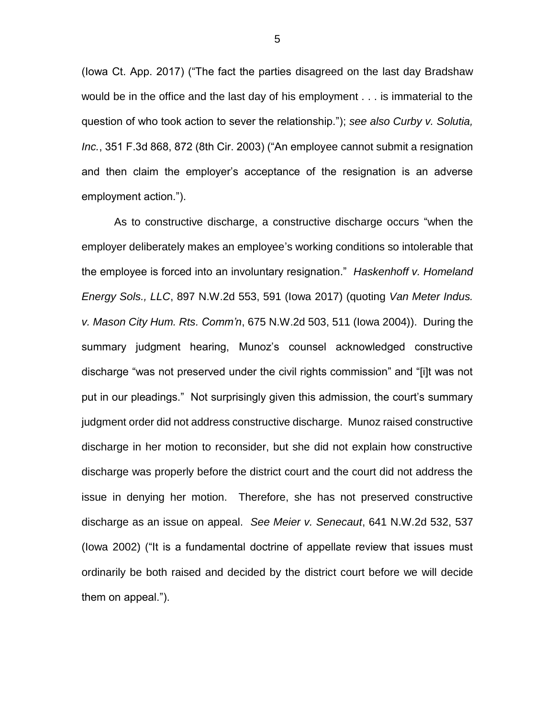(Iowa Ct. App. 2017) ("The fact the parties disagreed on the last day Bradshaw would be in the office and the last day of his employment . . . is immaterial to the question of who took action to sever the relationship."); *see also Curby v. Solutia, Inc.*, 351 F.3d 868, 872 (8th Cir. 2003) ("An employee cannot submit a resignation and then claim the employer's acceptance of the resignation is an adverse employment action.").

As to constructive discharge, a constructive discharge occurs "when the employer deliberately makes an employee's working conditions so intolerable that the employee is forced into an involuntary resignation." *Haskenhoff v. Homeland Energy Sols., LLC*, 897 N.W.2d 553, 591 (Iowa 2017) (quoting *Van Meter Indus. v. Mason City Hum. Rts. Comm'n*, 675 N.W.2d 503, 511 (Iowa 2004)). During the summary judgment hearing, Munoz's counsel acknowledged constructive discharge "was not preserved under the civil rights commission" and "[i]t was not put in our pleadings." Not surprisingly given this admission, the court's summary judgment order did not address constructive discharge. Munoz raised constructive discharge in her motion to reconsider, but she did not explain how constructive discharge was properly before the district court and the court did not address the issue in denying her motion. Therefore, she has not preserved constructive discharge as an issue on appeal. *See Meier v. Senecaut*, 641 N.W.2d 532, 537 (Iowa 2002) ("It is a fundamental doctrine of appellate review that issues must ordinarily be both raised and decided by the district court before we will decide them on appeal.").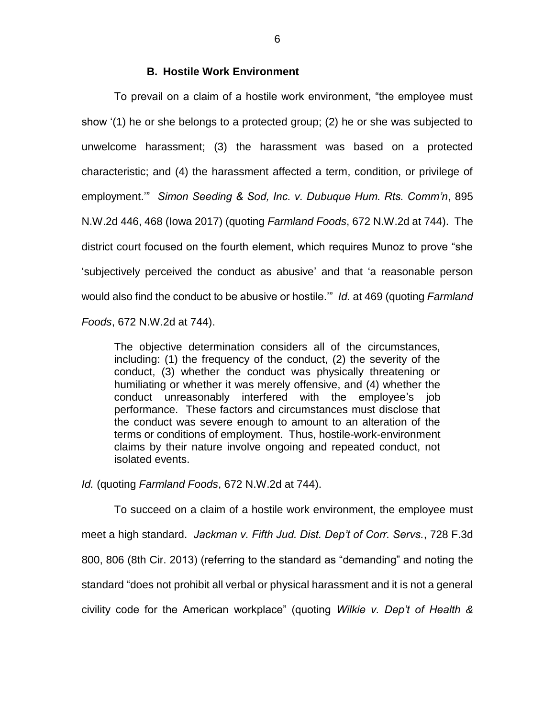## **B. Hostile Work Environment**

To prevail on a claim of a hostile work environment, "the employee must show '(1) he or she belongs to a protected group; (2) he or she was subjected to unwelcome harassment; (3) the harassment was based on a protected characteristic; and (4) the harassment affected a term, condition, or privilege of employment.'" *Simon Seeding & Sod, Inc. v. Dubuque Hum. Rts. Comm'n*, 895 N.W.2d 446, 468 (Iowa 2017) (quoting *Farmland Foods*, 672 N.W.2d at 744). The district court focused on the fourth element, which requires Munoz to prove "she 'subjectively perceived the conduct as abusive' and that 'a reasonable person would also find the conduct to be abusive or hostile.'" *Id.* at 469 (quoting *Farmland Foods*, 672 N.W.2d at 744).

The objective determination considers all of the circumstances, including: (1) the frequency of the conduct, (2) the severity of the conduct, (3) whether the conduct was physically threatening or humiliating or whether it was merely offensive, and (4) whether the conduct unreasonably interfered with the employee's job performance. These factors and circumstances must disclose that the conduct was severe enough to amount to an alteration of the terms or conditions of employment. Thus, hostile-work-environment claims by their nature involve ongoing and repeated conduct, not isolated events.

*Id.* (quoting *Farmland Foods*, 672 N.W.2d at 744).

To succeed on a claim of a hostile work environment, the employee must meet a high standard. *Jackman v. Fifth Jud. Dist. Dep't of Corr. Servs.*, 728 F.3d 800, 806 (8th Cir. 2013) (referring to the standard as "demanding" and noting the standard "does not prohibit all verbal or physical harassment and it is not a general civility code for the American workplace" (quoting *Wilkie v. Dep't of Health &*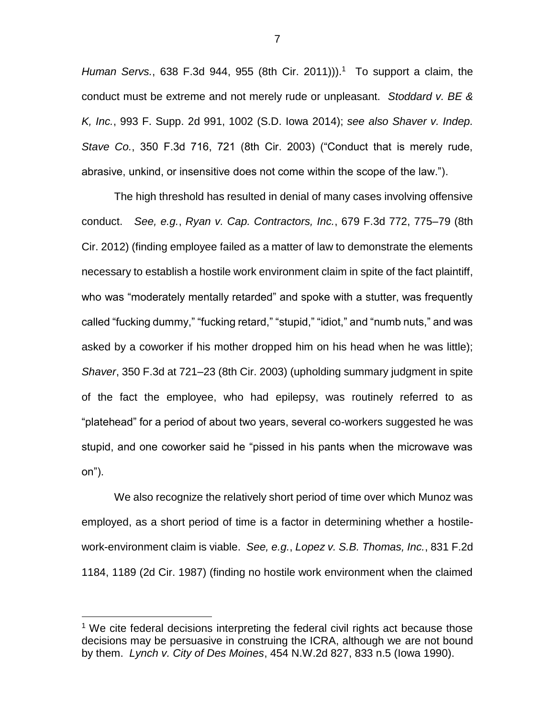Human Servs., 638 F.3d 944, 955 (8th Cir. 2011)).<sup>1</sup> To support a claim, the conduct must be extreme and not merely rude or unpleasant. *Stoddard v. BE & K, Inc.*, 993 F. Supp. 2d 991, 1002 (S.D. Iowa 2014); *see also Shaver v. Indep. Stave Co.*, 350 F.3d 716, 721 (8th Cir. 2003) ("Conduct that is merely rude, abrasive, unkind, or insensitive does not come within the scope of the law.").

The high threshold has resulted in denial of many cases involving offensive conduct. *See, e.g.*, *Ryan v. Cap. Contractors, Inc.*, 679 F.3d 772, 775–79 (8th Cir. 2012) (finding employee failed as a matter of law to demonstrate the elements necessary to establish a hostile work environment claim in spite of the fact plaintiff, who was "moderately mentally retarded" and spoke with a stutter, was frequently called "fucking dummy," "fucking retard," "stupid," "idiot," and "numb nuts," and was asked by a coworker if his mother dropped him on his head when he was little); *Shaver*, 350 F.3d at 721–23 (8th Cir. 2003) (upholding summary judgment in spite of the fact the employee, who had epilepsy, was routinely referred to as "platehead" for a period of about two years, several co-workers suggested he was stupid, and one coworker said he "pissed in his pants when the microwave was on").

We also recognize the relatively short period of time over which Munoz was employed, as a short period of time is a factor in determining whether a hostilework-environment claim is viable. *See, e.g.*, *Lopez v. S.B. Thomas, Inc.*, 831 F.2d 1184, 1189 (2d Cir. 1987) (finding no hostile work environment when the claimed

 $\overline{a}$ 

 $1$  We cite federal decisions interpreting the federal civil rights act because those decisions may be persuasive in construing the ICRA, although we are not bound by them. *Lynch v. City of Des Moines*, 454 N.W.2d 827, 833 n.5 (Iowa 1990).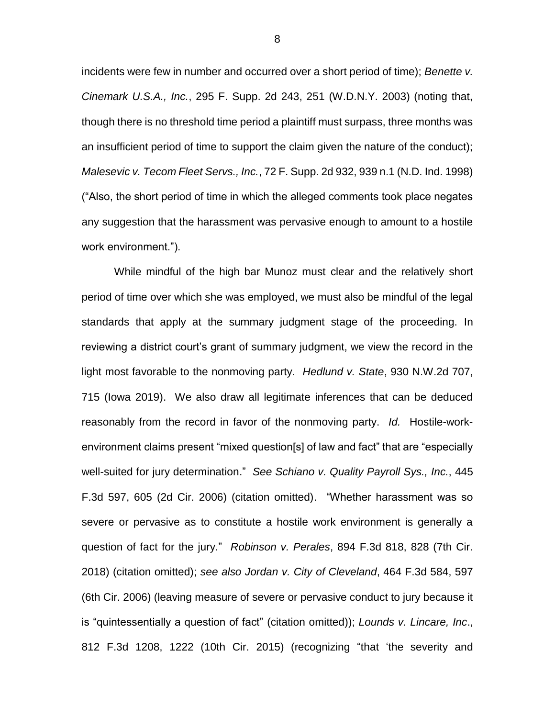incidents were few in number and occurred over a short period of time); *Benette v. Cinemark U.S.A., Inc.*, 295 F. Supp. 2d 243, 251 (W.D.N.Y. 2003) (noting that, though there is no threshold time period a plaintiff must surpass, three months was an insufficient period of time to support the claim given the nature of the conduct); *Malesevic v. Tecom Fleet Servs., Inc.*, 72 F. Supp. 2d 932, 939 n.1 (N.D. Ind. 1998) ("Also, the short period of time in which the alleged comments took place negates any suggestion that the harassment was pervasive enough to amount to a hostile work environment.").

While mindful of the high bar Munoz must clear and the relatively short period of time over which she was employed, we must also be mindful of the legal standards that apply at the summary judgment stage of the proceeding. In reviewing a district court's grant of summary judgment, we view the record in the light most favorable to the nonmoving party. *Hedlund v. State*, 930 N.W.2d 707, 715 (Iowa 2019). We also draw all legitimate inferences that can be deduced reasonably from the record in favor of the nonmoving party. *Id.* Hostile-workenvironment claims present "mixed question[s] of law and fact" that are "especially well-suited for jury determination." *See Schiano v. Quality Payroll Sys., Inc.*, 445 F.3d 597, 605 (2d Cir. 2006) (citation omitted). "Whether harassment was so severe or pervasive as to constitute a hostile work environment is generally a question of fact for the jury." *Robinson v. Perales*, 894 F.3d 818, 828 (7th Cir. 2018) (citation omitted); *see also Jordan v. City of Cleveland*, 464 F.3d 584, 597 (6th Cir. 2006) (leaving measure of severe or pervasive conduct to jury because it is "quintessentially a question of fact" (citation omitted)); *Lounds v. Lincare, Inc*., 812 F.3d 1208, 1222 (10th Cir. 2015) (recognizing "that 'the severity and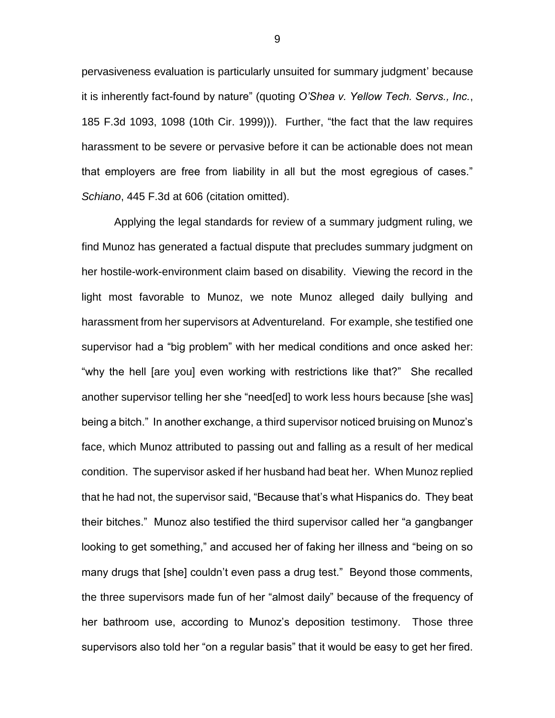pervasiveness evaluation is particularly unsuited for summary judgment' because it is inherently fact-found by nature" (quoting *O'Shea v. Yellow Tech. Servs., Inc.*, 185 F.3d 1093, 1098 (10th Cir. 1999))). Further, "the fact that the law requires harassment to be severe or pervasive before it can be actionable does not mean that employers are free from liability in all but the most egregious of cases." *Schiano*, 445 F.3d at 606 (citation omitted).

Applying the legal standards for review of a summary judgment ruling, we find Munoz has generated a factual dispute that precludes summary judgment on her hostile-work-environment claim based on disability. Viewing the record in the light most favorable to Munoz, we note Munoz alleged daily bullying and harassment from her supervisors at Adventureland. For example, she testified one supervisor had a "big problem" with her medical conditions and once asked her: "why the hell [are you] even working with restrictions like that?" She recalled another supervisor telling her she "need[ed] to work less hours because [she was] being a bitch." In another exchange, a third supervisor noticed bruising on Munoz's face, which Munoz attributed to passing out and falling as a result of her medical condition. The supervisor asked if her husband had beat her. When Munoz replied that he had not, the supervisor said, "Because that's what Hispanics do. They beat their bitches." Munoz also testified the third supervisor called her "a gangbanger looking to get something," and accused her of faking her illness and "being on so many drugs that [she] couldn't even pass a drug test." Beyond those comments, the three supervisors made fun of her "almost daily" because of the frequency of her bathroom use, according to Munoz's deposition testimony. Those three supervisors also told her "on a regular basis" that it would be easy to get her fired.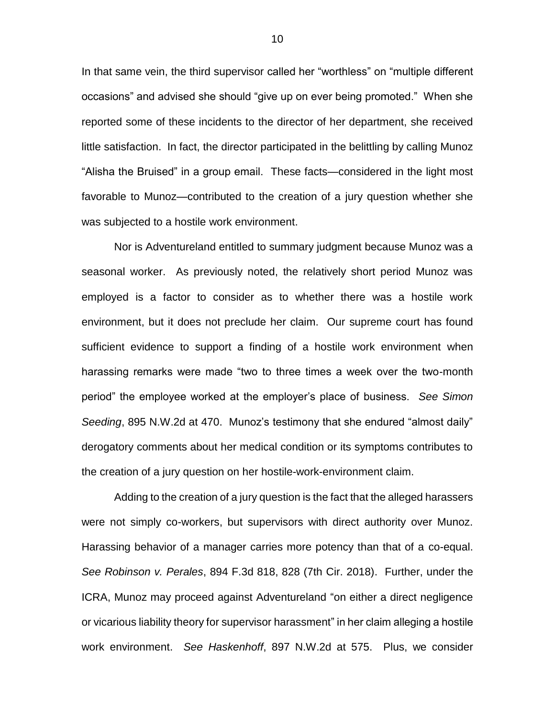In that same vein, the third supervisor called her "worthless" on "multiple different occasions" and advised she should "give up on ever being promoted." When she reported some of these incidents to the director of her department, she received little satisfaction. In fact, the director participated in the belittling by calling Munoz "Alisha the Bruised" in a group email. These facts—considered in the light most favorable to Munoz—contributed to the creation of a jury question whether she was subjected to a hostile work environment.

Nor is Adventureland entitled to summary judgment because Munoz was a seasonal worker. As previously noted, the relatively short period Munoz was employed is a factor to consider as to whether there was a hostile work environment, but it does not preclude her claim. Our supreme court has found sufficient evidence to support a finding of a hostile work environment when harassing remarks were made "two to three times a week over the two-month period" the employee worked at the employer's place of business. *See Simon Seeding*, 895 N.W.2d at 470. Munoz's testimony that she endured "almost daily" derogatory comments about her medical condition or its symptoms contributes to the creation of a jury question on her hostile-work-environment claim.

Adding to the creation of a jury question is the fact that the alleged harassers were not simply co-workers, but supervisors with direct authority over Munoz. Harassing behavior of a manager carries more potency than that of a co-equal. *See Robinson v. Perales*, 894 F.3d 818, 828 (7th Cir. 2018). Further, under the ICRA, Munoz may proceed against Adventureland "on either a direct negligence or vicarious liability theory for supervisor harassment" in her claim alleging a hostile work environment. *See Haskenhoff*, 897 N.W.2d at 575. Plus, we consider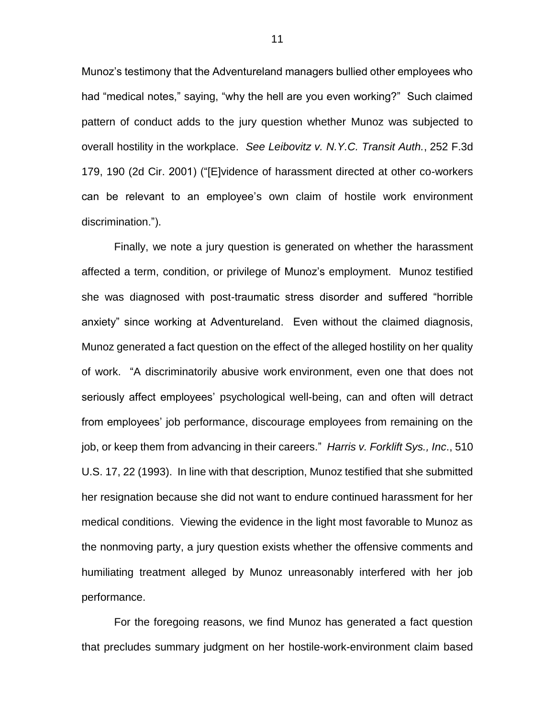Munoz's testimony that the Adventureland managers bullied other employees who had "medical notes," saying, "why the hell are you even working?" Such claimed pattern of conduct adds to the jury question whether Munoz was subjected to overall hostility in the workplace. *See Leibovitz v. N.Y.C. Transit Auth.*, 252 F.3d 179, 190 (2d Cir. 2001) ("[E]vidence of harassment directed at other co-workers can be relevant to an employee's own claim of hostile work environment discrimination.").

Finally, we note a jury question is generated on whether the harassment affected a term, condition, or privilege of Munoz's employment. Munoz testified she was diagnosed with post-traumatic stress disorder and suffered "horrible anxiety" since working at Adventureland. Even without the claimed diagnosis, Munoz generated a fact question on the effect of the alleged hostility on her quality of work. "A discriminatorily abusive work environment, even one that does not seriously affect employees' psychological well-being, can and often will detract from employees' job performance, discourage employees from remaining on the job, or keep them from advancing in their careers." *Harris v. Forklift Sys., Inc*., 510 U.S. 17, 22 (1993). In line with that description, Munoz testified that she submitted her resignation because she did not want to endure continued harassment for her medical conditions. Viewing the evidence in the light most favorable to Munoz as the nonmoving party, a jury question exists whether the offensive comments and humiliating treatment alleged by Munoz unreasonably interfered with her job performance.

For the foregoing reasons, we find Munoz has generated a fact question that precludes summary judgment on her hostile-work-environment claim based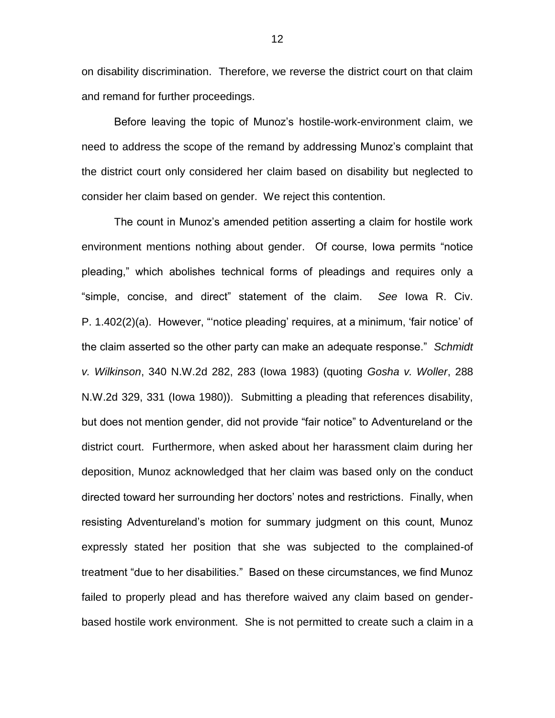on disability discrimination. Therefore, we reverse the district court on that claim and remand for further proceedings.

Before leaving the topic of Munoz's hostile-work-environment claim, we need to address the scope of the remand by addressing Munoz's complaint that the district court only considered her claim based on disability but neglected to consider her claim based on gender. We reject this contention.

The count in Munoz's amended petition asserting a claim for hostile work environment mentions nothing about gender. Of course, Iowa permits "notice pleading," which abolishes technical forms of pleadings and requires only a "simple, concise, and direct" statement of the claim. *See* Iowa R. Civ. P. 1.402(2)(a). However, "'notice pleading' requires, at a minimum, 'fair notice' of the claim asserted so the other party can make an adequate response." *Schmidt v. Wilkinson*, 340 N.W.2d 282, 283 (Iowa 1983) (quoting *Gosha v. Woller*, 288 N.W.2d 329, 331 (Iowa 1980)). Submitting a pleading that references disability, but does not mention gender, did not provide "fair notice" to Adventureland or the district court. Furthermore, when asked about her harassment claim during her deposition, Munoz acknowledged that her claim was based only on the conduct directed toward her surrounding her doctors' notes and restrictions. Finally, when resisting Adventureland's motion for summary judgment on this count, Munoz expressly stated her position that she was subjected to the complained-of treatment "due to her disabilities." Based on these circumstances, we find Munoz failed to properly plead and has therefore waived any claim based on genderbased hostile work environment. She is not permitted to create such a claim in a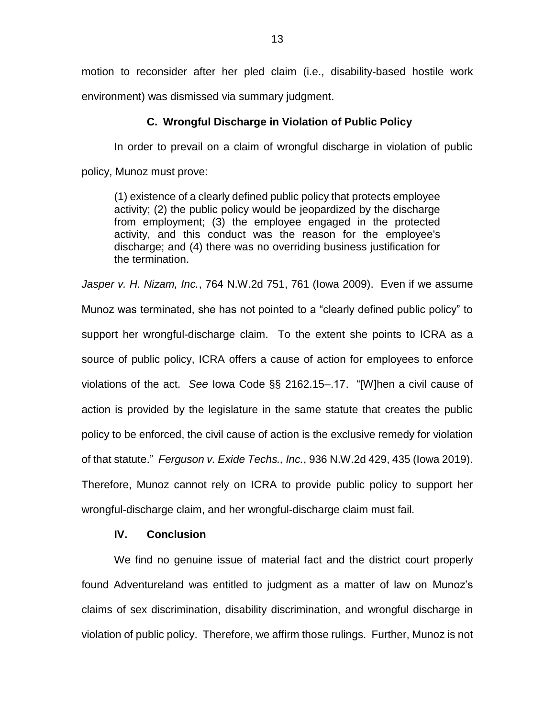motion to reconsider after her pled claim (i.e., disability-based hostile work environment) was dismissed via summary judgment.

### **C. Wrongful Discharge in Violation of Public Policy**

In order to prevail on a claim of wrongful discharge in violation of public policy, Munoz must prove:

(1) existence of a clearly defined public policy that protects employee activity; (2) the public policy would be jeopardized by the discharge from employment; (3) the employee engaged in the protected activity, and this conduct was the reason for the employee's discharge; and (4) there was no overriding business justification for the termination.

*Jasper v. H. Nizam, Inc.*, 764 N.W.2d 751, 761 (Iowa 2009). Even if we assume Munoz was terminated, she has not pointed to a "clearly defined public policy" to support her wrongful-discharge claim. To the extent she points to ICRA as a source of public policy, ICRA offers a cause of action for employees to enforce violations of the act. *See* Iowa Code §§ 2162.15–.17. "[W]hen a civil cause of action is provided by the legislature in the same statute that creates the public policy to be enforced, the civil cause of action is the exclusive remedy for violation of that statute." *Ferguson v. Exide Techs., Inc.*, 936 N.W.2d 429, 435 (Iowa 2019). Therefore, Munoz cannot rely on ICRA to provide public policy to support her wrongful-discharge claim, and her wrongful-discharge claim must fail.

# **IV. Conclusion**

We find no genuine issue of material fact and the district court properly found Adventureland was entitled to judgment as a matter of law on Munoz's claims of sex discrimination, disability discrimination, and wrongful discharge in violation of public policy. Therefore, we affirm those rulings. Further, Munoz is not